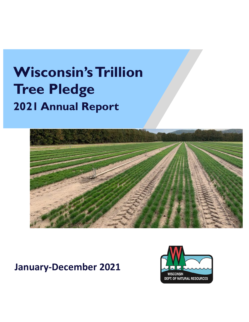# **Wisconsin's Trillion Tree Pledge 2021 Annual Report**



# **January-December 2021**

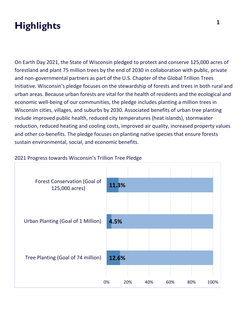# **Highlights**

On Earth Day 2021, the State of Wisconsin pledged to protect and conserve 125,000 acres of forestland and plant 75 million trees by the end of 2030 in collaboration with public, private and non-governmental partners as part of the U.S. Chapter of the Global Trillion Trees Initiative. Wisconsin's pledge focuses on the stewardship of forests and trees in both rural and urban areas. Because urban forests are vital for the health of residents and the ecological and economic well-being of our communities, the pledge includes planting a million trees in Wisconsin cities, villages, and suburbs by 2030. Associated benefits of urban tree planting include improved public health, reduced city temperatures (heat islands), stormwater reduction, reduced heating and cooling costs, improved air quality, increased property values and other co-benefits. The pledge focuses on planting native species that ensure forests sustain environmental, social, and economic benefits.



#### 2021 Progress towards Wisconsin's Trillion Tree Pledge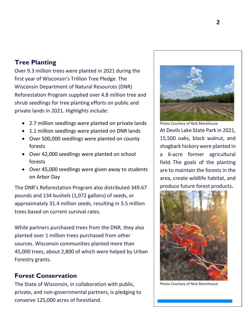# **Tree Planting**

Over 9.3 million trees were planted in 2021 during the first year of Wisconsin's Trillion Tree Pledge. The Wisconsin Department of Natural Resources (DNR) Reforestation Program supplied over 4.8 million tree and shrub seedlings for tree planting efforts on public and private lands in 2021. Highlights include:

- 2.7 million seedlings were planted on private lands
- 1.1 million seedlings were planted on DNR lands
- Over 500,000 seedlings were planted on county forests
- Over 42,000 seedlings were planted on school forests
- Over 45,000 seedlings were given away to students on Arbor Day

The DNR's Reforestation Program also distributed 349.67 pounds and 134 bushels (1,072 gallons) of seeds, or approximately 31.4 million seeds, resulting in 3.5 million trees based on current survival rates.

While partners purchased trees from the DNR, they also planted over 1 million trees purchased from other sources. Wisconsin communities planted more than 45,000 trees, about 2,800 of which were helped by Urban Forestry grants.

## **Forest Conservation**

The State of Wisconsin, in collaboration with public, private, and non-governmental partners, is pledging to conserve 125,000 acres of forestland.



are to maintain the forests in the area, create wildlife habitat, and produce future forest products**.**



Photo Courtesy of Nick Morehouse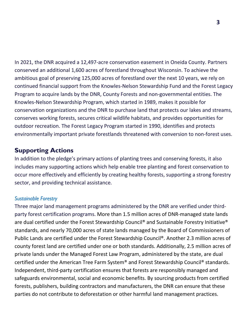In 2021, the DNR acquired a 12,497-acre conservation easement in Oneida County. Partners conserved an additional 1,600 acres of forestland throughout Wisconsin. To achieve the ambitious goal of preserving 125,000 acres of forestland over the next 10 years, we rely on continued financial support from the Knowles-Nelson Stewardship Fund and the Forest Legacy Program to acquire lands by the DNR, County Forests and non-governmental entities. The Knowles-Nelson Stewardship Program, which started in 1989, makes it possible for conservation organizations and the DNR to purchase land that protects our lakes and streams, conserves working forests, secures critical wildlife habitats, and provides opportunities for outdoor recreation. The Forest Legacy Program started in 1990, identifies and protects environmentally important private forestlands threatened with conversion to non-forest uses.

# **Supporting Actions**

In addition to the pledge's primary actions of planting trees and conserving forests, it also includes many supporting actions which help enable tree planting and forest conservation to occur more effectively and efficiently by creating healthy forests, supporting a strong forestry sector, and providing technical assistance.

### *Sustainable Forestry*

Three major land management programs administered by the DNR are verified under thirdparty forest certification programs. More than 1.5 million acres of DNR-managed state lands are dual certified under the Forest Stewardship Council® and Sustainable Forestry Initiative® standards, and nearly 70,000 acres of state lands managed by the Board of Commissioners of Public Lands are certified under the Forest Stewardship Council®. Another 2.3 million acres of county forest land are certified under one or both standards. Additionally, 2.5 million acres of private lands under the Managed Forest Law Program, administered by the state, are dual certified under the American Tree Farm System® and Forest Stewardship Council® standards. Independent, third-party certification ensures that forests are responsibly managed and safeguards environmental, social and economic benefits. By sourcing products from certified forests, publishers, building contractors and manufacturers, the DNR can ensure that these parties do not contribute to deforestation or other harmful land management practices.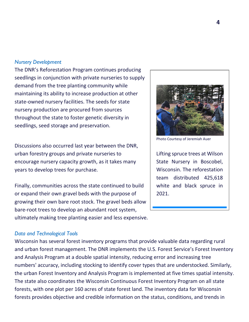#### *Nursery Development*

The DNR's Reforestation Program continues producing seedlings in conjunction with private nurseries to supply demand from the tree planting community while maintaining its ability to increase production at other state-owned nursery facilities. The seeds for state nursery production are procured from sources throughout the state to foster genetic diversity in seedlings, seed storage and preservation.

Discussions also occurred last year between the DNR, urban forestry groups and private nurseries to encourage nursery capacity growth, as it takes many years to develop trees for purchase.

Finally, communities across the state continued to build or expand their own gravel beds with the purpose of growing their own bare root stock. The gravel beds allow bare-root trees to develop an abundant root system, ultimately making tree planting easier and less expensive.

#### *Data and Technological Tools*

Wisconsin has several forest inventory programs that provide valuable data regarding rural and urban forest management. The DNR implements the U.S. Forest Service's Forest Inventory and Analysis Program at a double spatial intensity, reducing error and increasing tree numbers' accuracy, including stocking to identify cover types that are understocked. Similarly, the urban Forest Inventory and Analysis Program is implemented at five times spatial intensity. The state also coordinates the Wisconsin Continuous Forest Inventory Program on all state forests, with one plot per 160 acres of state forest land. The inventory data for Wisconsin forests provides objective and credible information on the status, conditions, and trends in



Photo Courtesy of Jeremiah Auer

Lifting spruce trees at Wilson State Nursery in Boscobel, Wisconsin. The reforestation team distributed 425,618 white and black spruce in 2021.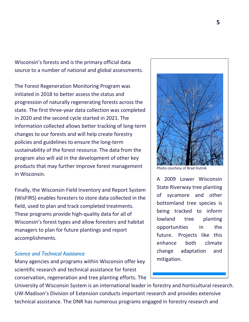Wisconsin's forests and is the primary official data source to a number of national and global assessments.

The Forest Regeneration Monitoring Program was initiated in 2018 to better assess the status and progression of naturally regenerating forests across the state. The first three-year data collection was completed in 2020 and the second cycle started in 2021. The information collected allows better tracking of long-term changes to our forests and will help create forestry policies and guidelines to ensure the long-term sustainability of the forest resource. The data from the program also will aid in the development of other key products that may further improve forest management in Wisconsin.

Finally, the Wisconsin Field Inventory and Report System (WisFIRS) enables foresters to store data collected in the field, used to plan and track completed treatments. These programs provide high-quality data for all of Wisconsin's forest types and allow foresters and habitat managers to plan for future plantings and report accomplishments.

#### *Science and Technical Assistance*

Many agencies and programs within Wisconsin offer key scientific research and technical assistance for forest conservation, regeneration and tree planting efforts. The

University of Wisconsin System is an international leader in forestry and horticultural research. UW-Madison's Division of Extension conducts important research and provides extensive technical assistance. The DNR has numerous programs engaged in forestry research and



Photo courtesy of Brad Hutnik

A 2009 Lower Wisconsin State Riverway tree planting of sycamore and other bottomland tree species is being tracked to inform lowland tree planting opportunities in the future. Projects like this enhance both climate change adaptation and mitigation.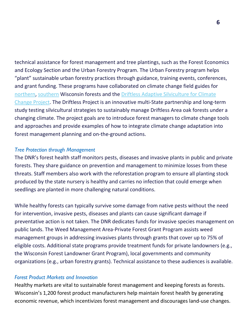technical assistance for forest management and tree plantings, such as the Forest Economics and Ecology Section and the Urban Forestry Program. The Urban Forestry program helps "plant" sustainable urban forestry practices through guidance, training events, conferences, and grant funding. These programs have collaborated on climate change field guides for [northern,](https://forestadaptation.org/field-guide-northern-wisconsin) [southern](https://forestadaptation.org/field-guide-southern-wisconsin) Wisconsin forests and the [Driftless Adaptive Silviculture for Climate](https://forestadaptation.org/learn/DriftlessASCC)  [Change](https://forestadaptation.org/learn/DriftlessASCC) Project. The Driftless Project is an innovative multi-State partnership and long-term study testing silvicultural strategies to sustainably manage Driftless Area oak forests under a changing climate. The project goals are to introduce forest managers to climate change tools and approaches and provide examples of how to integrate climate change adaptation into forest management planning and on-the-ground actions.

#### *Tree Protection through Management*

The DNR's forest health staff monitors pests, diseases and invasive plants in public and private forests. They share guidance on prevention and management to minimize losses from these threats. Staff members also work with the reforestation program to ensure all planting stock produced by the state nursery is healthy and carries no infection that could emerge when seedlings are planted in more challenging natural conditions.

While healthy forests can typically survive some damage from native pests without the need for intervention, invasive pests, diseases and plants can cause significant damage if preventative action is not taken. The DNR dedicates funds for invasive species management on public lands. The Weed Management Area-Private Forest Grant Program assists weed management groups in addressing invasives plants through grants that cover up to 75% of eligible costs. Additional state programs provide treatment funds for private landowners (e.g., the Wisconsin Forest Landowner Grant Program), local governments and community organizations (e.g., urban forestry grants). Technical assistance to these audiences is available.

#### *Forest Product Markets and Innovation*

Healthy markets are vital to sustainable forest management and keeping forests as forests. Wisconsin's 1,200 forest product manufacturers help maintain forest health by generating economic revenue, which incentivizes forest management and discourages land-use changes.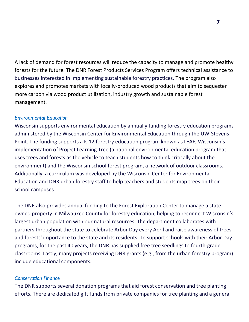A lack of demand for forest resources will reduce the capacity to manage and promote healthy forests for the future. The DNR Forest Products Services Program offers technical assistance to businesses interested in implementing sustainable forestry practices. The program also explores and promotes markets with locally-produced wood products that aim to sequester more carbon via wood product utilization, industry growth and sustainable forest management.

#### *Environmental Education*

Wisconsin supports environmental education by annually funding forestry education programs administered by the Wisconsin Center for Environmental Education through the UW-Stevens Point. The funding supports a K-12 forestry education program known as LEAF, Wisconsin's implementation of Project Learning Tree (a national environmental education program that uses trees and forests as the vehicle to teach students how to think critically about the environment) and the Wisconsin school forest program, a network of outdoor classrooms. Additionally, a curriculum was developed by the Wisconsin Center for Environmental Education and DNR urban forestry staff to help teachers and students map trees on their school campuses.

The DNR also provides annual funding to the Forest Exploration Center to manage a stateowned property in Milwaukee County for forestry education, helping to reconnect Wisconsin's largest urban population with our natural resources. The department collaborates with partners throughout the state to celebrate Arbor Day every April and raise awareness of trees and forests' importance to the state and its residents. To support schools with their Arbor Day programs, for the past 40 years, the DNR has supplied free tree seedlings to fourth-grade classrooms. Lastly, many projects receiving DNR grants (e.g., from the urban forestry program) include educational components.

#### *Conservation Finance*

The DNR supports several donation programs that aid forest conservation and tree planting efforts. There are dedicated gift funds from private companies for tree planting and a general